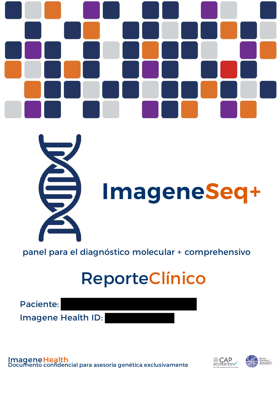



# **ImageneSeq+**

panel para el diagnóstico molecular + comprehensivo

## ReporteClínico

Paciente:

Imagene Health ID:

ImageneHealth Documento confidencial para asesoría genética exclusivamente

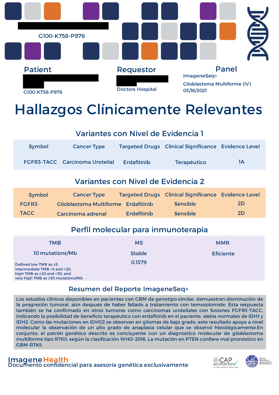

### Hallazgos Clínicamente Relevantes

#### Variantes con Nivel de Evidencia 1

| Symbol | <b>Cancer Type</b>                    |                    | <b>Targeted Drugs Clinical Significance Evidence Level</b> |    |
|--------|---------------------------------------|--------------------|------------------------------------------------------------|----|
|        | <b>FGFR3-TACC</b> Carcinoma Urotelial | <b>Erdafitinib</b> | <b>Terapéutico</b>                                         | 1A |

#### Variantes con Nivel de Evidencia 2

| Symbol      | <b>Cancer Type</b>                  |                    | <b>Targeted Drugs Clinical Significance Evidence Level</b> |           |
|-------------|-------------------------------------|--------------------|------------------------------------------------------------|-----------|
| FGFR3-      | Glioblastoma Multiforme Erdafitinib |                    | <b>Sensible</b>                                            | <b>2D</b> |
| <b>TACC</b> | Carcinoma adrenal                   | <b>Erdafitinib</b> | <b>Sensible</b>                                            | <b>2D</b> |

#### Perfil molecular para inmunoterapia

| TMB                                                                                                                                     | <b>MS</b>     | <b>MMR</b>       |
|-----------------------------------------------------------------------------------------------------------------------------------------|---------------|------------------|
| 10 mutations/Mb                                                                                                                         | <b>Stable</b> | <b>Eficiente</b> |
| Defined low TMB as $\leq$ 5,<br>intermediate TMB >5 and <20.<br>high TMB as $\geq$ 20 and <50, and<br>very high TMB as ≥50 mutations/Mb | 0.1379        |                  |

#### Resumen del Reporte ImageneSeq+

Los estudios clínicos disponibles en pacientes con GBM de genotipo similar, demuestran disminución de la progresión tumoral, aún después de haber fallado a tratamiento con temozolomide. Esta respuesta también se ha confirmado en otros tumores como carcinomas uroteliales con fusiones FGFR3-TACC, indicando la posibilidad de beneficio terapéutico con erdafitinib en el paciente. alelos normales de IDH1 y IDH2. Como las mutaciones en IDH1/2 se observan en gliomas de bajo grado, este resultado apoya a nivel molecular la observación de un alto grado de anaplasia celular que se observó histológicamente.En conjunto, el patrón genético descrito es concluyente con un diagnostico molecular de glioblastoma multiforme tipo RTKII, según la clasificación WHO-2016. La mutación en PTEN confiere mal pronóstico en GBM-RTKII.

ImageneHealth Documento confidencial para asesoría genética exclusivamente

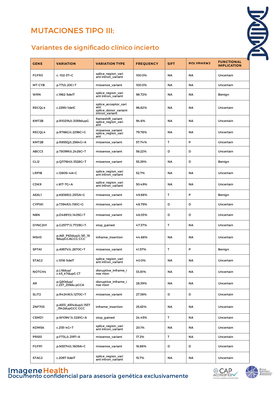#### MUTACIONES TIPO III:

# **NON**

#### Variantes de significado clínico incierto

| <b>GENE</b>       | <b>VARIATION</b>                        | <b>VARIATION TYPE</b>                                                 | <b>FREQUENCY</b> | <b>SIFT</b> | <b>POLYPHEN2</b> | <b>FUNCTIONAL</b><br><b>IMPLICATION</b> |
|-------------------|-----------------------------------------|-----------------------------------------------------------------------|------------------|-------------|------------------|-----------------------------------------|
| FGFR3             | c.-102-3T>C                             | splice region vari<br>ant intron variant                              | 100.0%           | <b>NA</b>   | <b>NA</b>        | Uncertain                               |
| MT-CYB            | p.T7I/c.20C>T                           | missense variant                                                      | 100.0%           | <b>NA</b>   | <b>NA</b>        | Uncertain                               |
| <b>WRN</b>        | c.1982-5delT                            | splice region vari<br>ant intron variant                              | 98.72%           | <b>NA</b>   | <b>NA</b>        | Benign                                  |
| RECQL4            | c.2295+1delC                            | splice_acceptor_vari<br>ant<br>splice donor variant<br>intron variant | 96.82%           | <b>NA</b>   | ΝA               | Uncertain                               |
| KMT2B             | p.R1021fs/c.3059dupG                    | frameshift variant<br>splice region vari<br>ant                       | 94.6%            | <b>NA</b>   | <b>NA</b>        | Uncertain                               |
| RECQL4            | p.R766G/c.2296C>G                       | missense variant<br>splice region vari<br>ant                         | 79.78%           | <b>NA</b>   | <b>NA</b>        | Uncertain                               |
| KMT2B             | p.R855Q/c.2564G>A                       | missense variant                                                      | 57.74%           | Τ           | P                | Uncertain                               |
| ABCC3             | p.T809M/c.2426C>T                       | missense_variant                                                      | 56.22%           | D           | D                | Uncertain                               |
| GLI <sub>2</sub>  | p.Q1176H/c.3528G>T                      | missense_variant                                                      | 55.29%           | <b>NA</b>   | D                | Benign                                  |
| <b>LRP1B</b>      | c.12805+4A>C                            | splice region vari<br>ant intron variant                              | 52.7%            | <b>NA</b>   | ΝA               | Uncertain                               |
| CDK9              | c.617-7G>A                              | splice region vari<br>ant intron variant                              | 50.49%           | <b>NA</b>   | NA               | Uncertain                               |
| <b>ASXL1</b>      | p.K838R/c.2513A>G                       | missense_variant                                                      | 49.88%           | т           | P                | Benign                                  |
| <b>CYPIA1</b>     | p.T394R/c.1181C>G                       | missense variant                                                      | 48.79%           | D           | D                | Uncertain                               |
| <b>NBN</b>        | p.D469Y/c.1405G>T                       | missense_variant                                                      | 48.03%           | D           | D                | Uncertain                               |
| DYNC2H1           | p.G2577*/c.7729G>T                      | stop_gained                                                           | 47.37%           | т           | <b>NA</b>        | Uncertain                               |
| MSH3              | p.A61_P63dup/c.181_18<br>9dupGCAGCG CCC | inframe insertion                                                     | 44.88%           | <b>NA</b>   | <b>NA</b>        | Uncertain                               |
| <b>SPTA1</b>      | p.A957V/c.2870C>T                       | missense_variant                                                      | 41.57%           | т           | P                | Benign                                  |
| STAG2             | c.1018-3delT                            | splice_region_vari<br>ant intron variant                              | 40.0%            | <b>NA</b>   | <b>NA</b>        | Uncertain                               |
| NOTCH4            | p.L16dup/<br>c.45_47dupG CT             | disruptive_inframe_i<br>nse rtion                                     | 33.81%           | <b>NA</b>   | ΝA               | Uncertain                               |
| AR                | p.Q80dup/<br>c.237_239du pGCA           | disruptive inframe i<br>nse rtion                                     | 28.39%           | <b>NA</b>   | <b>NA</b>        | Uncertain                               |
| SLIT <sub>2</sub> | p.R424W/c.1270C>T                       | missense_variant                                                      | 27.36%           | D           | D                | Uncertain                               |
| <b>ZNF703</b>     | p.A513_A514dup/c.1537<br>1542dupGCC GCC | inframe insertion                                                     | 25.63%           | <b>NA</b>   | ΝA               | Uncertain                               |
| CSMD1             | p.W1094*/c.3281G>A                      | stop gained                                                           | 24.45%           | Τ           | NA               | Uncertain                               |
| KDM5A             | c.2151-4G>T                             | splice_region_vari<br>ant intron variant                              | 20.1%            | <b>NA</b>   | ΝA               | Uncertain                               |
| PRSS1             | p.F73L/c.219T>A                         | missense variant                                                      | 17.2%            | т           | ΝA               | Uncertain                               |
| <b>FGFR1</b>      | p.N537H/c.1609A>C                       | missense_variant                                                      | 16.88%           | D           | D                | Uncertain                               |
| STAG2             | c.2097-5delT                            | splice_region_vari<br>ant intron variant                              | 15.7%            | <b>NA</b>   | ΝA               | Uncertain                               |



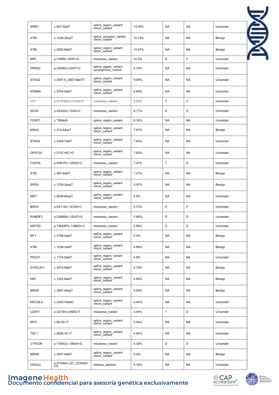| NPM1              | c.847-5delT                  | splice_region_variant<br>intron variant     | 13.49% | <b>NA</b>   | <b>NA</b> | Uncertain | NIIM |
|-------------------|------------------------------|---------------------------------------------|--------|-------------|-----------|-----------|------|
| <b>ATM</b>        | c.1236-3dupT                 | splice acceptor variant<br>intron variant   | 10.73% | <b>NA</b>   | <b>NA</b> | Benign    |      |
| <b>ATM</b>        | c.2922-8delT                 | splice region variant<br>intron_variant     | 10.47% | NA          | NA        | Benign    |      |
| <b>MPL</b>        | p.I185R/c.554T>G             | missense_variant                            | 10.2%  | D           | P         | Uncertain |      |
| PRSS3             | p.G208G/c.624T>C             | splice_region_variant<br>synonymous variant | 9.79%  | <b>NA</b>   | <b>NA</b> | Uncertain |      |
| STAG2             | c.2097-6_2097-5delTT         | splice region variant<br>intron variant     | 9.09%  | <b>NA</b>   | NA        | Uncertain |      |
| KDM6A             | c.2724-5delT                 | splice_region_variant<br>intron_variant     | 8.85%  | <b>NA</b>   | <b>NA</b> | Uncertain |      |
| <b>CIC</b>        | p.K1375Q/c.4123A>C           | missense variant                            | 8.55%  | D           | D         | Uncertain |      |
| SOX9              | p.K242Q/c.724A>C             | missense variant                            | 8.17%  | D           | D         | Uncertain |      |
| FOXP1             | c.*56delA                    | splice_region_variant                       | 8.16%  | <b>NA</b>   | <b>NA</b> | Uncertain |      |
| MSH <sub>2</sub>  | $c.212-4dupT$                | splice region variant<br>intron variant     | 7.87%  | NA          | NA        | Benign    |      |
| STAG <sub>2</sub> | c.2359-7delT                 | splice_region_variant<br>intron variant     | 7.83%  | <b>NA</b>   | NA        | Uncertain |      |
| <b>GPR124</b>     | c.2747+8C>G                  | splice region variant<br>intron variant     | 7.63%  | <b>NA</b>   | <b>NA</b> | Uncertain |      |
| FGFR4             | p.R401P/c.1202G>C            | missense_variant                            | 7.47%  | $\mathsf T$ | D         | Uncertain |      |
| ATM               | c.497-4delT                  | splice_region_variant<br>intron variant     | 7.27%  | NA          | NA        | Benign    |      |
| <b>SPEN</b>       | c.1750-5dupT                 | splice region variant<br>intron_variant     | 5.97%  | NA          | NA        | Benign    |      |
| <b>MET</b>        | c.2638-9dupT                 | splice region variant<br>intron variant     | 5.9%   | <b>NA</b>   | <b>NA</b> | Uncertain |      |
| BRD4              | p.E411A/c.1232A>C            | missense_variant                            | 5.73%  | D           | P         | Uncertain |      |
| RHBDF2            | p.C608W/c.1824T>G            | missense_variant                            | 5.66%  | D           | D         | Uncertain |      |
| KMT2D             | p.T4629P/c.13885A>C          | missense_variant                            | 5.56%  | D           | D         | Uncertain |      |
| NF <sub>1</sub>   | c.3198-4delT                 | splice_region_variant<br>intron variant     | 5.0%   | NA          | <b>NA</b> | Benign    |      |
| ATM               | c.1236-3delT                 | splice_region_variant<br>intron variant     | 4.88%  | NA          | <b>NA</b> | Benign    |      |
| POLD1             | c.1776-5delT                 | splice_region_variant<br>intron_variant     | 4.8%   | NA          | <b>NA</b> | Uncertain |      |
| DYNC2H1           | c.3574-8delT                 | splice region variant<br>intron_variant     | 4.75%  | NA          | <b>NA</b> | Benign    |      |
| RB1               | c.1422-8delT                 | splice_region_variant<br>intron_variant     | 4.68%  | NA          | <b>NA</b> | Benign    |      |
| MSH <sub>6</sub>  | c.3557-4dupT                 | splice_region_variant<br>intron_variant     | 4.55%  | <b>NA</b>   | <b>NA</b> | Benign    |      |
| RECQL4            | c.2463+8delC                 | splice region variant<br>intron_variant     | 4.45%  | <b>NA</b>   | <b>NA</b> | Uncertain |      |
| U2AF1             | p.G219V/c.656G>T             | missense_variant                            | 4.45%  | $\mathsf T$ | D         | Uncertain |      |
| IRF <sub>2</sub>  | c.88-3C>T                    | splice_region_variant<br>intron_variant     | 4.44%  | NA          | <b>NA</b> | Uncertain |      |
| TSC <sub>1</sub>  | c.2626-3C>T                  | splice_region_variant<br>intron_variant     | 4.44%  | <b>NA</b>   | <b>NA</b> | Uncertain |      |
| CYP2D6            | p.Y355C/c.1064A>G            | missense_variant                            | 4.38%  | D           | D         | Uncertain |      |
| MSH <sub>6</sub>  | c.3557-4delT                 | splice_region_variant<br>intron_variant     | 4.2%   | NA          | <b>NA</b> | Benign    |      |
| HDAC2             | p.S75del/c.221_223delG<br>CA | inframe_deletion                            | 4.16%  | NA          | <b>NA</b> | Uncertain |      |

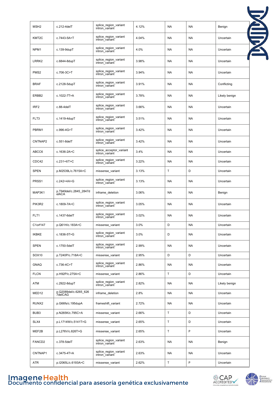| MSH <sub>2</sub>   | c.212-4delT                      | splice region variant<br>intron variant   | 4.12% | <b>NA</b>    | <b>NA</b> | Benign        |
|--------------------|----------------------------------|-------------------------------------------|-------|--------------|-----------|---------------|
| KMT2C              | c.7443-5A>T                      | splice region variant<br>intron_variant   | 4.04% | <b>NA</b>    | <b>NA</b> | Uncertain     |
| NPM <sub>1</sub>   | c.139-9dupT                      | splice region variant<br>intron variant   | 4.0%  | <b>NA</b>    | <b>NA</b> | Uncertain     |
| LRRK <sub>2</sub>  | c.6844-8dupT                     | splice region variant<br>intron variant   | 3.98% | <b>NA</b>    | NA        | Uncertain     |
| PMS <sub>2</sub>   | c.706-3C>T                       | splice_region_variant<br>intron variant   | 3.94% | <b>NA</b>    | NA        | Uncertain     |
| <b>BRAF</b>        | c.2128-5dupT                     | splice region variant<br>intron variant   | 3.91% | NA           | NA        | Conflicting   |
| ERBB <sub>2</sub>  | c.1022-7T>A                      | splice region variant<br>intron variant   | 3.78% | <b>NA</b>    | <b>NA</b> | Likely benign |
| IRF <sub>2</sub>   | $c.88-4$ del $T$                 | splice_region_variant<br>intron variant   | 3.66% | <b>NA</b>    | NA        | Uncertain     |
| FLT3               | c.1419-4dupT                     | splice_region_variant<br>intron_variant   | 3.51% | <b>NA</b>    | NA        | Uncertain     |
| PBRM1              | c.996-4G>T                       | splice_region_variant<br>intron_variant   | 3.42% | <b>NA</b>    | <b>NA</b> | Uncertain     |
| CNTNAP2            | c.551-8delT                      | splice_region_variant<br>intron_variant   | 3.42% | NA           | <b>NA</b> | Uncertain     |
| ABCC6              | c.1636-2A>C                      | splice acceptor variant<br>intron variant | 3.4%  | <b>NA</b>    | <b>NA</b> | Uncertain     |
| CDC42              | $c.231 + 6T > C$                 | splice_region_variant<br>intron variant   | 3.22% | NA           | <b>NA</b> | Uncertain     |
| <b>SPEN</b>        | p.M2539L/c.7615A>C               | missense_variant                          | 3.13% | $\mathsf T$  | D         | Uncertain     |
| PRSS1              | c.242+4A>G                       | splice_region_variant<br>intron variant   | 3.13% | <b>NA</b>    | <b>NA</b> | Uncertain     |
| MAP3K1             | p.T949del/c.2845 2847d<br>elACA  | inframe_deletion                          | 3.06% | <b>NA</b>    | <b>NA</b> | Benign        |
| PIK3R2             | c.1809-7A>C                      | splice region variant<br>intron_variant   | 3.05% | <b>NA</b>    | <b>NA</b> | Uncertain     |
| FLT1               | c.1437-6delT                     | splice_region_variant<br>intron variant   | 3.02% | <b>NA</b>    | <b>NA</b> | Uncertain     |
| C1orf147           | p.Q61H/c.183A>C                  | missense variant                          | 3.0%  | D            | <b>NA</b> | Uncertain     |
| <b>IKBKE</b>       | c.1836-5T>G                      | splice_region_variant<br>intron_variant   | 3.0%  | D            | NA        | Uncertain     |
| <b>SPEN</b>        | c.1750-5delT                     | splice region variant<br>intron variant   | 2.99% | <b>NA</b>    | NA        | Uncertain     |
| SOX10              | p.T240P/c.718A>C                 | missense variant                          | 2.95% | D            | D         | Uncertain     |
| <b>GNAQ</b>        | c.736-4C>T                       | splice_region_variant<br>intron_variant   | 2.86% | <b>NA</b>    | <b>NA</b> | Uncertain     |
| <b>FLCN</b>        | p.H92P/c.275A>C                  | missense variant                          | 2.86% | $\mathsf{T}$ | D         | Uncertain     |
| ATM                | c.2922-8dupT                     | splice_region_variant<br>intron variant   | 2.82% | <b>NA</b>    | NA        | Likely benign |
| MED <sub>12</sub>  | p.Q2089del/c.6265 626<br>7delCAG | inframe_deletion                          | 2.8%  | <b>NA</b>    | NA        | Uncertain     |
| RUNX2              | p.G66fs/c.195dupA                | frameshift variant                        | 2.72% | <b>NA</b>    | <b>NA</b> | Uncertain     |
| BUB3               | p.N265K/c.795C>A                 | missense_variant                          | 2.66% | $\mathsf{T}$ | D         | Uncertain     |
| SLX4               | p.L1714W/c.5141T>G               | missense_variant                          | 2.65% | $\sf T$      | D         | Uncertain     |
| MEF2B              | p.L276V/c.826T>G                 | missense_variant                          | 2.65% | $\mathsf{T}$ | P         | Uncertain     |
| FANCD <sub>2</sub> | c.378-5delT                      | splice_region_variant<br>intron_variant   | 2.63% | <b>NA</b>    | <b>NA</b> | Benign        |
| CNTNAP1            | c.3475-4T>A                      | splice region variant<br>intron variant   | 2.63% | <b>NA</b>    | NA        | Uncertain     |
| ATR                | p.I2065L/c.6193A>C               | missense_variant                          | 2.62% | $\mathsf T$  | P         | Uncertain     |



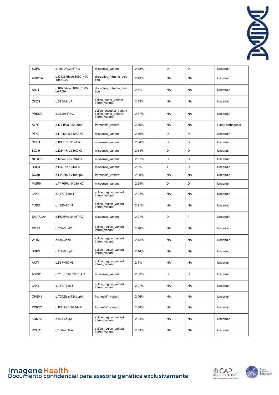

| <b>SUFU</b>        | p.Y99D/c.295T>G                  | missense_variant                                                  | 2.62% | D            | D         | Uncertain         |
|--------------------|----------------------------------|-------------------------------------------------------------------|-------|--------------|-----------|-------------------|
| ARID1A             | p.Q1334del/c.3999_400<br>1delGCA | disruptive_inframe_dele<br>tion                                   | 2.49% | <b>NA</b>    | <b>NA</b> | Uncertain         |
| ABL <sub>1</sub>   | p.K628del/c.1883_1885<br>delAGA  | disruptive_inframe_dele<br>tion                                   | 2.4%  | ΝA           | <b>NA</b> | Uncertain         |
| CHD <sub>2</sub>   | $c.3734$ dupA                    | splice_donor_variant<br>intron variant                            | 2.39% | NA           | <b>NA</b> | Uncertain         |
| <b>PRKDC</b>       | c.3729+1T>C                      | splice_acceptor_variant<br>splice donor variant<br>intron variant | 2.37% | ΝA           | <b>NA</b> | Uncertain         |
| ATR                | p.I774fs/c.2320dupA              | frameshift_variant                                                | 2.36% | NA           | <b>NA</b> | Likely pathogenic |
| PTK <sub>2</sub>   | p.I1042L/c.3124A>C               | missense_variant                                                  | 2.36% | D            | D         | Uncertain         |
| CHD4               | p.K306T/c.917A>C                 | missense_variant                                                  | 2.34% | D            | D         | Uncertain         |
| SOX9               | p.D244H/c.730G>C                 | missense_variant                                                  | 2.34% | D            | D         | Uncertain         |
| NOTCH <sub>3</sub> | p.N247H/c.739A>C                 | missense_variant                                                  | 2.31% | D            | D         | Uncertain         |
| BRD4               | p.S42R/c.124A>C                  | missense_variant                                                  | 2.3%  | $\mathsf{T}$ | D         | Uncertain         |
| SOX9               | p.P238fs/c.710dupC               | frameshift_variant                                                | 2.29% | NA           | <b>NA</b> | Uncertain         |
| MMP9               | p.T470P/c.1408A>C                | missense_variant                                                  | 2.24% | D            | D         | Uncertain         |
| JAK2               | c.1777-7dupT                     | splice_region_variant<br>intron variant                           | 2.22% | ΝA           | <b>NA</b> | Uncertain         |
| TUBD1              | c.1260-7C>T                      | splice_region_variant<br>intron variant                           | 2.21% | ΝA           | <b>NA</b> | Uncertain         |
| SMARCA4            | p.F806V/c.2416T>G                | missense_variant                                                  | 2.21% | D            | P         | Uncertain         |
| PMS <sub>2</sub>   | $c.706-3$ del $C$                | splice_region_variant<br>intron_variant                           | 2.16% | ΝA           | <b>NA</b> | Uncertain         |
| <b>WRN</b>         | $c.840-3$ del $T$                | splice_region_variant<br>intron variant                           | 2.15% | ΝA           | NA        | Uncertain         |
| BUB <sub>3</sub>   | $c.266-9dupT$                    | splice_region_variant<br>intron variant                           | 2.14% | NA           | <b>NA</b> | Uncertain         |
| AKT1               | $c.567 + 8C > G$                 | splice region variant<br>intron variant                           | 2.1%  | NA           | <b>NA</b> | Uncertain         |
| ABCB1              | p.Y1087D/c.3259T>G               | missense variant                                                  | 2.09% | D            | D         | Uncertain         |
| JAK2               | c.1777-7delT                     | splice region variant<br>intron variant                           | 2.07% | NA           | <b>NA</b> | Uncertain         |
| CHEK1              | p.T242fs/c.724dupA               | frameshift variant                                                | 2.06% | NA           | <b>NA</b> | Uncertain         |
| PRRT <sub>2</sub>  | p.R217fs/c.649delC               | frameshift_variant                                                | 2.06% | NA           | NA        | Uncertain         |
| KDM5A              | $c.871 - 6$ dup $T$              | splice_region_variant<br>intron variant                           | 2.04% | NA           | <b>NA</b> | Uncertain         |
| POLD <sub>1</sub>  | c.1384-3T>A                      | splice region variant<br>intron variant                           | 2.03% | NA           | NA        | Uncertain         |





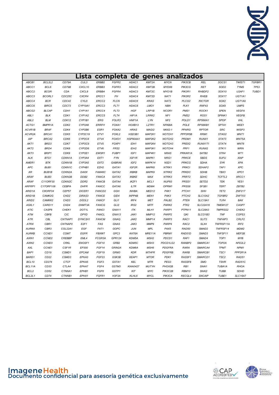

|                     |                   |                    | Lista              |                    | completa          | de                 | genes             |                    | analizados        |                   |                     |                                |             |
|---------------------|-------------------|--------------------|--------------------|--------------------|-------------------|--------------------|-------------------|--------------------|-------------------|-------------------|---------------------|--------------------------------|-------------|
| ABCB1               | BCL2L2            | CD79A              | CUL3               | ERBB <sub>2</sub>  | FGFR <sub>2</sub> | HDAC1              | KMT2A             | <b>MYCN</b>        | PIK3CB            | <b>REL</b>        | SOCS1               | TWIST1                         | TGFBR1      |
| ABCC1               | BCL6              | CD79B              | CXCL10             | ERBB3              | FGFR3             | HDAC2              | KMT2B             | MYD88              | PIK3CG            | <b>RET</b>        | SOD <sub>2</sub>    | <b>TYMS</b>                    | <b>TP53</b> |
| ABCC2               | <b>BCOR</b>       | CDA                | CXCL8              | ERBB4              | FGFR4             | HDAC3              | KMT2C             | MYO1B              | PIK3R1            | RHBDF2            | SOX10               | U <sub>2</sub> AF <sub>1</sub> | TUBD1       |
| ABCC3               | <b>BCORL1</b>     | CDC25C             | CXCR4              | ERCC1              | FH                | HDAC4              | KMT2D             | NAT <sub>1</sub>   | PIK3R2            | <b>RHEB</b>       | SOX17               | UGT1A1                         |             |
| ABCC4               | <b>BCR</b>        | CDC42              | CYLD               | ERCC2              | <b>FLCN</b>       | HDAC6              | <b>KRAS</b>       | NAT <sub>2</sub>   | PLCG <sub>2</sub> | <b>RICTOR</b>     | SOX <sub>2</sub>    | UGT1A9                         |             |
| ABCC6               | <b>BIRC5</b>      | CDC73              | CYP19A1            | ERCC3              | FLT1              | HDAC8              | LMO <sub>1</sub>  | <b>NBN</b>         | PLK1              | RNF43             | SOX9                | <b>UMPS</b>                    |             |
| ABCG2               | <b>BLCAP</b>      | CDH <sub>1</sub>   | CYP1A1             | ERCC4              | FLT3              | <b>HGF</b>         | LRP1B             | NCOR1              | PMS <sub>1</sub>  | ROCK1             | <b>SPEN</b>         | <b>VEGFA</b>                   |             |
| ABL1                | <b>BLK</b>        | CDK1               | CYP1A2             | ERCC5              | FLT4              | HIF1A              | LRRK2             | NF <sub>1</sub>    | PMS <sub>2</sub>  | ROS1              | SPINK1              | <b>VEGFB</b>                   |             |
| ABL <sub>2</sub>    | <b>BLM</b>        | CDK12              | CYP1B1             | ERG                | FOLR3             | HNF <sub>1</sub> A | LYN               | NF2                | POLD1             | RPS6KA1           | <b>SPOP</b>         | <b>VHL</b>                     |             |
| ACTG1               | BMPR1A            | CDK <sub>2</sub>   | CYP2A6             | ERRFI1             | FOXA1             | HOXB13             | LZTR1             | <b>NFKBIA</b>      | POLE              | RPS6KB1           | SPTA <sub>1</sub>   | WEE1                           |             |
| ACVR1B              | <b>BRAF</b>       | CDK4               | CYP2B6             | ESR1               | FOXA2             | <b>HRAS</b>        | MAGI2             | <b>NKX2-1</b>      | <b>PPARG</b>      | <b>RPTOR</b>      | <b>SRC</b>          | WISP3                          |             |
| ACVR <sub>2</sub> A | BRCA1             | CDK5               | CYP2C19            | ETV1               | FOXL <sub>2</sub> | HSD3B1             | MAP2K1            | NOTCH <sub>1</sub> | PPP2R5B           | RRM1              | STAG2               | WNT1                           |             |
| AIP                 | BRCA2             | CDK6               | CYP2C8             | ETV4               | FOXO1             | HSP90AA1           | MAP2K2            | NOTCH <sub>2</sub> | PRDM1             | RUNX1             | STAT3               | WNT5A                          |             |
| AKT1                | BRD3              | CDK7               | CYP2C9             | ETV5               | FOXP1             | IDH1               | MAP2K4            | NOTCH <sub>3</sub> | PREX2             | RUNX1T1           | STAT4               | WNT6                           |             |
| AKT2                | BRD4              | CDK8               | CYP2D6             | ETV6               | FRS2              | IDH <sub>2</sub>   | MAP3K1            | NOTCH4             | PRF1              | RUNX2             | STK11               | <b>WRN</b>                     |             |
| AKT3                | BRIP1             | CDK9               | CYP2E1             | EWSR1              | FUBP1             | IGF1               | MAP4K1            | <b>NRAS</b>        | PRKAR1A           | SATB <sub>2</sub> | STK4                | WT1                            |             |
| ALK                 | BTG1              | CDKN1A             | CYP3A4             | EXT1               | <b>FYN</b>        | IGF1R              | MAPK1             | NRG1               | <b>PRKCE</b>      | <b>SBDS</b>       | <b>SUFU</b>         | <b>XIAP</b>                    |             |
| AMER1               | <b>BTK</b>        | CDKN1B             | CYP3A5             | EXT <sub>2</sub>   | GABRA6            | IGF <sub>2</sub>   | MAPK14            | NSD1               | <b>PRKCG</b>      | <b>SDHA</b>       | SYK                 | <b>XPA</b>                     |             |
| <b>APC</b>          | BUB1              | CDKN1C             | CYP4B1             | EZH <sub>2</sub>   | GATA1             | IGF2R              | MAPK8             | NTRK1              | <b>PRKCI</b>      | SDHAF2            | TAF1                | <b>XPC</b>                     |             |
| AR                  | BUB1B             | CDKN2A             | DAXX               | FAM46C             | GATA2             | <b>IKBKB</b>       | MAPK9             | NTRK2              | <b>PRKDC</b>      | <b>SDHB</b>       | TBX3                | XPO1                           |             |
| <b>ARAF</b>         | BUB <sub>3</sub>  | CDKN2B             | DDB <sub>2</sub>   | <b>FANCA</b>       | GATA3             | <b>IKBKE</b>       | <b>MAX</b>        | NTRK3              | PRRT <sub>2</sub> | <b>SDHC</b>       | TCF7L2              | XRCC1                          |             |
| <b>ARAF</b>         | C11ORF30          | CDKN <sub>2C</sub> | DDR <sub>2</sub>   | <b>FANCB</b>       | GATA4             | IKZF1              | MCL <sub>1</sub>  | NUP93              | PRSS1             | SETD <sub>2</sub> | TEK                 | YES1                           |             |
| ARFRP1              | C17ORF108         | CEBPA              | <b>DHFR</b>        | <b>FANCC</b>       | GATA6             | IL7R               | MDM4              | OPRM1              | PRSS8             | SF3B1             | TERT                | ZBTB2                          |             |
| ARID1A              | C8ORF34           | CEP57              | DICER1             | FANCD <sub>2</sub> | GGH               | <b>INHBA</b>       | MED <sub>12</sub> | PAK1               | PTCH <sub>1</sub> | <b>SHH</b>        | TET <sub>2</sub>    | ZNF217                         |             |
| ARID1B              | CAMK2G            | CHD <sub>2</sub>   | DIRAS3             | <b>FANCE</b>       | GID4              | INPP4B             | MEN1              | PAK3               | PTCH <sub>2</sub> | <b>SLC10A2</b>    | TGFBR2              | <b>ZNF703</b>                  |             |
| ARID <sub>2</sub>   | CAMKK2            | CHD <sub>3</sub>   | DIS3L2             | <b>FANCF</b>       | GL11              | IRF4               | <b>MET</b>        | PALB <sub>2</sub>  | <b>PTEN</b>       | <b>SLC19A1</b>    | TLR4                | BAX                            |             |
| ASXL1               | CARD11            | CHD4               | DNMT3A             | <b>FANCG</b>       | GLI2              | IRS2               | <b>MITF</b>       | PARK2              | PTK2              | SLC22A16          | TMEM127             | CASP7                          |             |
| <b>ATIC</b>         | CASP8             | CHEK1              | DOT <sub>1</sub> L | <b>FANCI</b>       | GNA11             | ITK                | MLH1              | PARP1              | PTPN11            | <b>SLC28A3</b>    | TMPRSS2             | CHEK2                          |             |
| ATM                 | CBFB              | CIC                | <b>DPYD</b>        | <b>FANCL</b>       | GNA13             | JAK1               | MMP12             | PARP <sub>2</sub>  | QKI               | SLCO1B3           | TNF                 | COPS3                          |             |
| ATR                 | CBL               | CNTNAP1            | DYNC2H1            | <b>FANCM</b>       | GNAQ              | JAK2               | MMP <sub>14</sub> | PARP3              | RAC1              | SLIT <sub>2</sub> | TNFAIP3             | CRLF <sub>2</sub>              |             |
| <b>ATRX</b>         | CBR1              | CNTNAP2            | E2F1               | FAS                | GNAS              | JAK3               | MMP9              | PARP4              | RAC2              | SLX4              | TNFRSF11A           | IRF <sub>2</sub>               |             |
| <b>AURKA</b>        | CBR3              | COL22A1            | EGF                | FAT1               | GOPC              | <b>JUN</b>         | <b>MPL</b>        | PAX5               | RAD50             | SMAD <sub>2</sub> | TNFRSF14            | MDM2                           |             |
| <b>AURKB</b>        | CCND1             | <b>COMT</b>        | <b>EGFR</b>        | FBXW7              | GPC3              | KAT6A              | MRE11A            | PBRM1              | RAD51D            | SMAD3             | TNFSF11             | MEF2B                          |             |
| AXIN1               | CCND <sub>2</sub> | <b>CREBBP</b>      | EML4               | FCGR3A             | GPR124            | KDM5A              | MSH <sub>2</sub>  | PDCD1              | RAF1              | SMAD4             | TOP <sub>1</sub>    | MYB                            |             |
| AXIN2               | CCND <sub>3</sub> | <b>CRKL</b>        | ENOSF1             | FGF10              | GRB2              | KDM5C              | MSH3              | PDCD1LG2           | RANBP2            | SMARCA1           | TOP <sub>2</sub> A  | NFE2L2                         |             |
| AXL                 | CCNE1             | CSF1R              | EP300              | FGF14              | GRIN2A            | KDM6A              | MSH <sub>6</sub>  | <b>PDGFRA</b>      | <b>RARA</b>       | SMARCA4           | <b>TPMT</b>         | NPM1                           |             |
| BAP1                | CD <sub>19</sub>  | CSMD1              | EPCAM              | FGF19              | GRM3              | <b>KDR</b>         | <b>MTHFR</b>      | <b>PDGFRB</b>      | <b>RARB</b>       | SMARCB1           | TSC1                | PPP2R1A                        |             |
| <b>BARD1</b>        | CD <sub>22</sub>  | CSMD3              | EPHA3              | FGF23              | GSK3B             | KEAP1              | <b>MTOR</b>       | PDK1               | RASSF1            | SMARCD1           | TSC <sub>2</sub>    | RAD51                          |             |
| BCL10               | CD274             | <b>CTCF</b>        | EPHA5              | FGF3               | GSTA1             | <b>KEL</b>         | <b>MTR</b>        | PEG3               | RASSF8            | <b>SMO</b>        | <b>TSHR</b>         | RAD51C                         |             |
| BCL11A              | CD33              | CTLA4              | EPHA7              | FGF4               | GSTM3             | <b>KIAA0427</b>    | <b>MUTYH</b>      | PHOX2B             | RB1               | SNA11             | TUBA <sub>1</sub> A | <b>RHOA</b>                    |             |
| BCL <sub>2</sub>    | CD52              | CTNNA1             | EPHB1              | FGF6               | GSTP1             | KIT                | <b>MYC</b>        | PIK3C2B            | <b>RBM10</b>      | SNAI2             | <b>TUBB</b>         | <b>SDHD</b>                    |             |
| BCL2L1              | CD74              | CTNNB1             | EPHX1              | FGFR1              | H3F3A             | KLHL6              | <b>MYCL</b>       | PIK3CA             | RECQL4            | <b>SNCAIP</b>     | TUBE1               | <b>SLC16A7</b>                 |             |



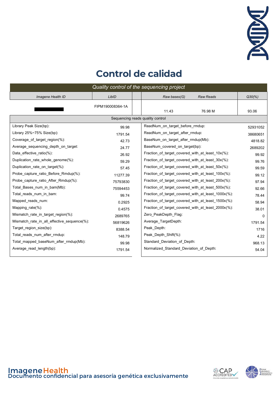

#### **Control de calidad**

| Quality control of the sequencing project   |                  |                                                               |  |  |  |  |  |  |  |
|---------------------------------------------|------------------|---------------------------------------------------------------|--|--|--|--|--|--|--|
| Imagene Health ID                           | LibID            | <b>Raw Reads</b><br>$Q30\frac{9}{6}$<br>Raw bases(G)          |  |  |  |  |  |  |  |
|                                             | FIPM190008364-1A | 11.43<br>76.98 M<br>93.06                                     |  |  |  |  |  |  |  |
| Sequencing reads quality control            |                  |                                                               |  |  |  |  |  |  |  |
| Library Peak Size(bp):                      | 99.98            | ReadNum on target before rmdup:<br>52931052                   |  |  |  |  |  |  |  |
| Library $25\% \sim 75\%$ Size(bp):          | 1791.54          | ReadNum on target after rmdup:<br>38680651                    |  |  |  |  |  |  |  |
| Coverage_of_target_region(%):               | 42.73            | BaseNum on target after rmdup(Mb):<br>4818.82                 |  |  |  |  |  |  |  |
| Average sequencing depth on target:         | 24.77            | BaseNum covered on target(bp):<br>2689202                     |  |  |  |  |  |  |  |
| Data effective ratio(%):                    | 26.92            | Fraction of target covered with at least $10x(\%)$ :<br>99.92 |  |  |  |  |  |  |  |
| Duplication rate whole genome(%):           | 59.29            | Fraction of target covered with at least $30x$ (%):<br>99.76  |  |  |  |  |  |  |  |
| Duplication rate on target(%):              | 57.45            | Fraction of target covered with at least $50x$ %):<br>99.59   |  |  |  |  |  |  |  |
| Probe capture ratio Before Rmdup(%):        | 11277.39         | Fraction of target covered with at least 100x(%):<br>99.12    |  |  |  |  |  |  |  |
| Probe capture ratio After Rmdup(%):         | 75793830         | Fraction of target covered with at least 200x(%):<br>97.94    |  |  |  |  |  |  |  |
| Total Bases num in bam(Mb):                 | 75594453         | Fraction of target covered with at least 500x(%):<br>92.66    |  |  |  |  |  |  |  |
| Total reads num in bam:                     | 99.74            | Fraction_of_target_covered_with_at_least_1000x(%):<br>78.44   |  |  |  |  |  |  |  |
| Mapped reads num:                           | 0.2925           | Fraction of target covered with at least 1500x(%):<br>58.94   |  |  |  |  |  |  |  |
| Mapping rate $(\%)$ :                       | 0.4575           | Fraction of target covered with at least 2000x(%):<br>38.01   |  |  |  |  |  |  |  |
| Mismatch rate in target region(%):          | 2689765          | Zero_PeakDepth_Flag:<br>$\Omega$                              |  |  |  |  |  |  |  |
| Mismatch_rate_in_all_effective_sequence(%): | 56819626         | Average TargetDepth:<br>1791.54                               |  |  |  |  |  |  |  |
| Target region size(bp):                     | 8388.54          | Peak Depth:<br>1716                                           |  |  |  |  |  |  |  |
| Total reads num after rmdup:                | 148.79           | Peak Depth Shift(%):<br>4.22                                  |  |  |  |  |  |  |  |
| Total_mapped_baseNum_after_rmdup(Mb):       | 99.98            | Standard_Deviation_of_Depth:<br>968.13                        |  |  |  |  |  |  |  |
| Average read length(bp):                    | 1791.54          | Normalized Standard Deviation of Depth:<br>54.04              |  |  |  |  |  |  |  |



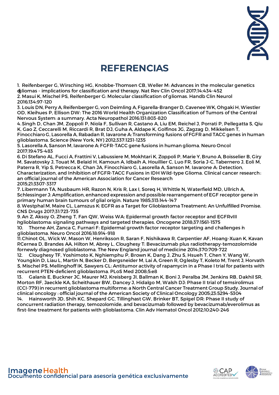

#### **REFERENCIAS**

1. Reifenberger G, Wirsching HG, Knobbe-Thomsen CB, Weller M: Advances in the molecular genetics ofgliomas - implications for classification and therapy. Nat Rev Clin Oncol 2017;14:434-452 2. Masui K, Mischel PS, Reifenberger G: Molecular classification of gliomas. Handb Clin Neurol 2016;134:97-120

3. Louis DN, Perry A, Reifenberger G, von Deimling A, Figarella-Branger D, Cavenee WK, Ohgaki H, Wiestler OD, Kleihues P, Ellison DW: The 2016 World Health Organization Classification of Tumors of the Central Nervous System: a summary. Acta Neuropathol 2016;131:803-820

4.Singh D, Chan JM, Zoppoli P, Niola F, Sullivan R, Castano A, Liu EM, Reichel J, Porrati P, Pellegatta S, Qiu K, Gao Z, Ceccarelli M, Riccardi R, Brat DJ, Guha A, Aldape K, Golfinos JG, Zagzag D, Mikkelsen T,

Finocchiaro G, Lasorella A, Rabadan R, Iavarone A: Transforming fusions of FGFR and TACC genes in human glioblastoma. Science (New York, NY) 2012;337:1231-1235

5. Lasorella A, Sanson M, Iavarone A: FGFR-TACC gene fusions in human glioma. Neuro Oncol 2017;19:475-483

6. Di Stefano AL, Fucci A, Frattini V, Labussiere M, Mokhtari K, Zoppoli P, Marie Y, Bruno A, Boisselier B, Giry M, Savatovsky J, Touat M, Belaid H, Kamoun A, Idbaih A, Houillier C, Luo FR, Soria J-C, Tabernero J, Eoli M, Paterra R, Yip S, Petrecca K, Chan JA, Finocchiaro G, Lasorella A, Sanson M, Iavarone A: Detection, Characterization, and Inhibition of FGFR-TACC Fusions in IDH Wild-type Glioma. Clinical cancer research: an official journal of the American Association for Cancer Research 2015;21:3307-3317

7. Libermann TA, Nusbaum HR, Razon N, Kris R, Lax I, Soreq H, Whittle N, Waterfield MD, Ullrich A, Schlessinger J: Amplification, enhanced expression and possible rearrangement of EGF receptor gene in primary human brain tumours of glial origin. Nature 1985;313:144-147

8.Westphal M, Maire CL, Lamszus K: EGFR as a Target for Glioblastoma Treatment: An Unfulfilled Promise. CNS Drugs 2017;31:723-735

9. An Z, Aksoy O, Zheng T, Fan QW, Weiss WA: Epidermal growth factor receptor and EGFRvIII inglioblastoma: signaling pathways and targeted therapies. Oncogene 2018;37:1561-1575

10. Thorne AH, Zanca C, Furnari F: Epidermal growth factor receptor targeting and challenges in glioblastoma. Neuro Oncol 2016;18:914-918

11.Chinot OL, Wick W, Mason W, Henriksson R, Saran F, Nishikawa R, Carpentier AF, Hoang-Xuan K, Kavan P,Cernea D, Brandes AA, Hilton M, Abrey L, Cloughesy T: Bevacizumab plus radiotherapy-temozolomide fornewly diagnosed glioblastoma. The New England journal of medicine 2014;370:709-722

12. Cloughesy TF, Yoshimoto K, Nghiemphu P, Brown K, Dang J, Zhu S, Hsueh T, Chen Y, Wang W, Youngkin D, Liau L, Martin N, Becker D, Bergsneider M, Lai A, Green R, Oglesby T, Koleto M, Trent J, Horvath S, Mischel PS, Mellinghoff IK, Sawyers CL: Antitumor activity of rapamycin in a Phase I trial for patients with recurrent PTEN-deficient glioblastoma. PLoS Med 2008;5:e8

13. Galanis E, Buckner JC, Maurer MJ, Kreisberg JI, Ballman K, Boni J, Peralba JM, Jenkins RB, Dakhil SR, Morton RF, Jaeckle KA, Scheithauer BW, Dancey J, Hidalgo M, Walsh DJ: Phase II trial of temsirolimus (CCI-779) in recurrent glioblastoma multiforme: a North Central Cancer Treatment Group Study. Journal of clinical oncology : official journal of the American Society of Clinical Oncology 2005;23:5294-5304

14. Hainsworth JD, Shih KC, Shepard GC, Tillinghast GW, Brinker BT, Spigel DR: Phase II study of concurrent radiation therapy, temozolomide, and bevacizumab followed by bevacizumab/everolimus as first-line treatment for patients with glioblastoma. Clin Adv Hematol Oncol 2012;10:240-246